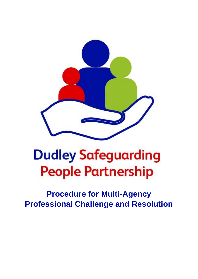

# **Dudley Safeguarding People Partnership**

**Procedure for Multi-Agency Professional Challenge and Resolution**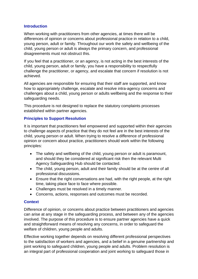#### **Introduction**

When working with practitioners from other agencies, at times there will be differences of opinion or concerns about professional practice in relation to a child, young person, adult or family. Throughout our work the safety and wellbeing of the child, young person or adult is always the primary concern, and professional disagreements must not obstruct this.

If you feel that a practitioner, or an agency, is not acting in the best interests of the child, young person, adult or family, you have a responsibility to respectfully challenge the practitioner, or agency, and escalate that concern if resolution is not achieved.

All agencies are responsible for ensuring that their staff are supported, and know how to appropriately challenge, escalate and resolve intra-agency concerns and challenges about a child, young person or adults wellbeing and the response to their safeguarding needs.

This procedure is not designed to replace the statutory complaints processes established within partner agencies.

#### **Principles to Support Resolution**

It is important that practitioners feel empowered and supported within their agencies to challenge aspects of practice that they do not feel are in the best interests of the child, young person or adult. When trying to resolve a difference of professional opinion or concern about practice, practitioners should work within the following principles:

- The safety and wellbeing of the child, young person or adult is paramount, and should they be considered at significant risk then the relevant Multi Agency Safeguarding Hub should be contacted.
- The child, young person, adult and their family should be at the centre of all professional discussions.
- Ensure that the right conversations are had, with the right people, at the right time, taking place face to face where possible.
- Challenges must be resolved in a timely manner.
- Concerns, actions, responses and outcomes must be recorded.

#### **Context**

Difference of opinion, or concerns about practice between practitioners and agencies can arise at any stage in the safeguarding process, and between any of the agencies involved. The purpose of this procedure is to ensure partner agencies have a quick and straightforward means of resolving any concerns, in order to safeguard the welfare of children, young people and adults.

Effective working together depends on resolving different professional perspectives to the satisfaction of workers and agencies, and a belief in a genuine partnership and joint working to safeguard children, young people and adults. Problem resolution is an integral part of professional cooperation and joint working to safeguard those in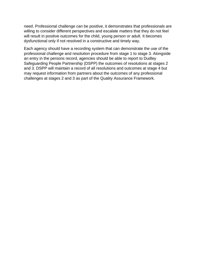need. Professional challenge can be positive, it demonstrates that professionals are willing to consider different perspectives and escalate matters that they do not feel will result in positive outcomes for the child, young person or adult. It becomes dysfunctional only if not resolved in a constructive and timely way.

Each agency should have a recording system that can demonstrate the use of the professional challenge and resolution procedure from stage 1 to stage 3. Alongside an entry in the persons record, agencies should be able to report to Dudley Safeguarding People Partnership (DSPP) the outcomes of resolutions at stages 2 and 3. DSPP will maintain a record of all resolutions and outcomes at stage 4 but may request information from partners about the outcomes of any professional challenges at stages 2 and 3 as part of the Quality Assurance Framework.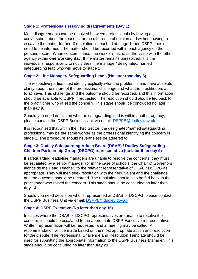#### **Stage 1: Professionals resolving disagreements (Day 1)**

Most disagreements can be resolved between professionals by having a conversation about the reasons for the difference of opinion and without having to escalate the matter further. If resolution is reached at stage 1 then DSPP does not need to be informed. The matter should be recorded within each agency on the persons record. When concerns arise, the worker must raise the issue with the other agency within **one working day**. If the matter remains unresolved, it is the individual's responsibility to notify their line manager/ designated/ named safeguarding lead who will move to stage 2.

#### **Stage 2: Line Manager/ Safeguarding Leads (No later than day 3)**

The respective parties must identify explicitly what the problem is and have absolute clarity about the nature of the professional challenge and what the practitioners aim to achieve. This challenge and the outcome should be recorded, and this information should be available to DSPP if requested. The resolution should also be fed back to the practitioner who raised the concern. This stage should be concluded no later than **day 9**.

Should you need details on who the safeguarding lead is within another agency, please contact the DSPP Business Unit via email: [DSPPB@dudley.gov.uk.](mailto:DSPPB@dudley.gov.uk)

It is recognised that within the Third Sector, the designated/named safeguarding professional may be the same worker as the professional identifying the concern in stage 1. The procedure should nevertheless be adhered to.

#### **Stage 3: Dudley Safeguarding Adults Board (DSAB) / Dudley Safeguarding Children Partnership Group (DSCPG) representative (no later than day 9)**

If safeguarding leads/line managers are unable to resolve the concerns, they must be escalated by a senior manager (or in the case of schools, the Chair of Governors alongside the Head Teacher) to the relevant representative of DSAB / DSCPG as appropriate. They will then seek resolution with their equivalent and the challenge and the outcome should be recorded. The resolution should also be fed back to the practitioner who raised the concern. This stage should be concluded no later than **day 14**.

Should you need details on who is represented at DSAB or DSCPG, please contact the DSPP Business Unit via email: [DSPPB@dudley.gov.uk.](mailto:DSPPB@dudley.gov.uk)

#### **Stage 4: DSPP Executive (No later than day 16)**

In cases where the DSAB or DSCPG representatives are unable to resolve the concern, it should be escalated to the appropriate DSPP Executive representative. Written representation will be requested, and a meeting may be called. A recommendation will be made based on the most appropriate action and resolution for the dispute. The Professional Challenge and Resolution Template should be used for submitting the appropriate information to the DSPP Business Manager. This stage should be concluded no later than **day 21**.